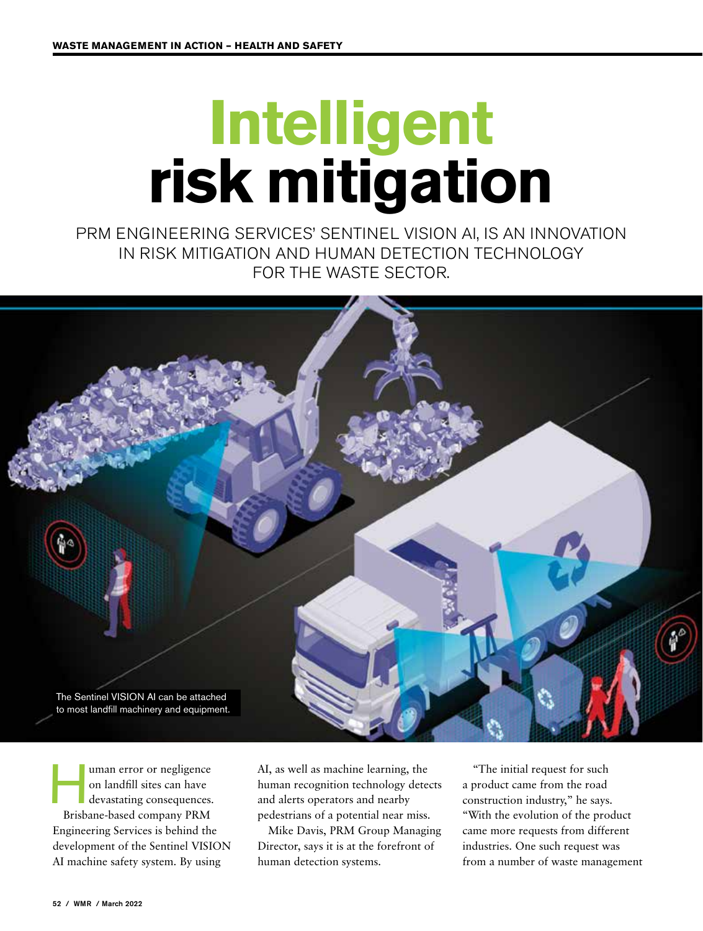## **Intelligent risk mitigation**

PRM ENGINEERING SERVICES' SENTINEL VISION AI, IS AN INNOVATION IN RISK MITIGATION AND HUMAN DETECTION TECHNOLOGY FOR THE WASTE SECTOR.



uman error or negligence<br>on landfill sites can have<br>devastating consequences. on landfill sites can have devastating consequences. Brisbane-based company PRM Engineering Services is behind the development of the Sentinel VISION AI machine safety system. By using

AI, as well as machine learning, the human recognition technology detects and alerts operators and nearby pedestrians of a potential near miss.

Mike Davis, PRM Group Managing Director, says it is at the forefront of human detection systems.

"The initial request for such a product came from the road construction industry," he says. "With the evolution of the product came more requests from different industries. One such request was from a number of waste management